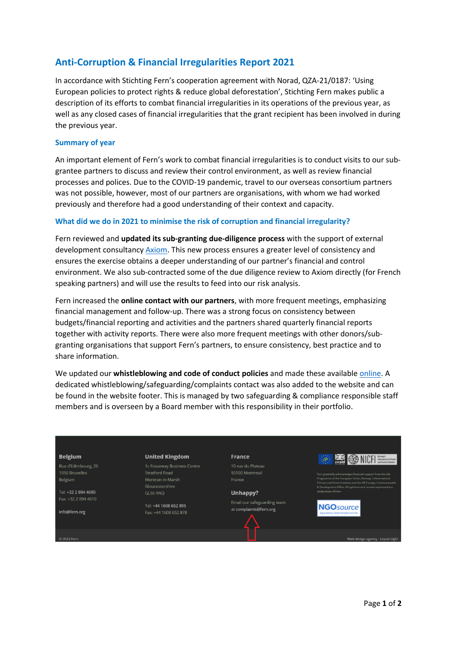# **Anti-Corruption & Financial Irregularities Report 2021**

In accordance with Stichting Fern's cooperation agreement with Norad, QZA-21/0187: 'Using European policies to protect rights & reduce global deforestation', Stichting Fern makes public a description of its efforts to combat financial irregularities in its operations of the previous year, as well as any closed cases of financial irregularities that the grant recipient has been involved in during the previous year.

### **Summary of year**

An important element of Fern's work to combat financial irregularities is to conduct visits to our subgrantee partners to discuss and review their control environment, as well as review financial processes and polices. Due to the COVID-19 pandemic, travel to our overseas consortium partners was not possible, however, most of our partners are organisations, with whom we had worked previously and therefore had a good understanding of their context and capacity.

### **What did we do in 2021 to minimise the risk of corruption and financial irregularity?**

Fern reviewed and **updated its sub-granting due-diligence process** with the support of external development consultanc[y Axiom.](https://www.axiom-international-ltd.com/) This new process ensures a greater level of consistency and ensures the exercise obtains a deeper understanding of our partner's financial and control environment. We also sub-contracted some of the due diligence review to Axiom directly (for French speaking partners) and will use the results to feed into our risk analysis.

Fern increased the **online contact with our partners**, with more frequent meetings, emphasizing financial management and follow-up. There was a strong focus on consistency between budgets/financial reporting and activities and the partners shared quarterly financial reports together with activity reports. There were also more frequent meetings with other donors/subgranting organisations that support Fern's partners, to ensure consistency, best practice and to share information.

We updated our **whistleblowing and code of conduct policies** and made these availabl[e online.](https://www.fern.org/who-we-are/compliance-and-safeguarding/) A dedicated whistleblowing/safeguarding/complaints contact was also added to the website and can be found in the website footer. This is managed by two safeguarding & compliance responsible staff members and is overseen by a Board member with this responsibility in their portfolio.

#### **Belgium**

Rue d'Edimbourg, 26 1050 Bruxelles Belgium

Tel: +32 2 894 4690 Fax: +32 2 894 4610

info@fern.org

#### **United Kingdom**

1c Fosseway Business Centre Stratford Road Moreton-in-Marsh Gloucestershire

**GL56 9NO** 

Tel: +44 1608 652 895 Fax: +44 1608 652 878

**France** 

93100 Montreuil France

### Unhappy?

Email our safeguarding team at complaints@fern.org